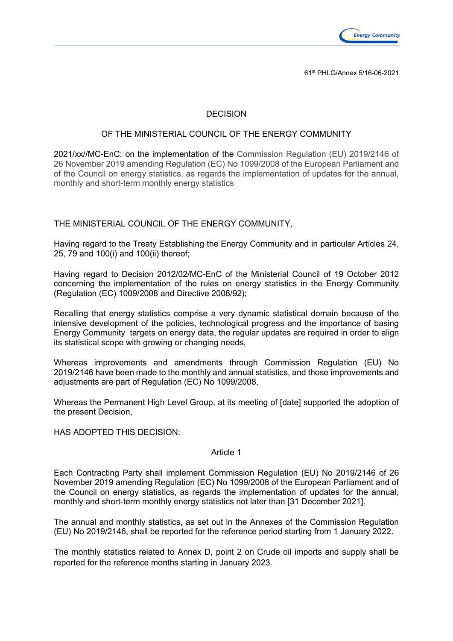

61st PHLG/Annex 5/16-06-2021

# DECISION

#### OF THE MINISTERIAL COUNCIL OF THE ENERGY COMMUNITY

2021/xx//MC-EnC: on the implementation of the Commission Regulation (EU) 2019/2146 of 26 November 2019 amending Regulation (EC) No 1099/2008 of the European Parliament and of the Council on energy statistics, as regards the implementation of updates for the annual, monthly and short-term monthly energy statistics

THE MINISTERIAL COUNCIL OF THE ENERGY COMMUNITY,

Having regard to the Treaty Establishing the Energy Community and in particular Articles 24, 25, 79 and 100(i) and 100(ii) thereof;

Having regard to Decision 2012/02/MC-EnC of the Ministerial Council of 19 October 2012 concerning the implementation of the rules on energy statistics in the Energy Community (Regulation (EC) 1009/2008 and Directive 2008/92);

Recalling that energy statistics comprise a very dynamic statistical domain because of the intensive development of the policies, technological progress and the importance of basing Energy Community targets on energy data, the regular updates are required in order to align its statistical scope with growing or changing needs,

Whereas improvements and amendments through Commission Regulation (EU) No 2019/2146 have been made to the monthly and annual statistics, and those improvements and adjustments are part of Regulation (EC) No 1099/2008,

Whereas the Permanent High Level Group, at its meeting of [date] supported the adoption of the present Decision,

HAS ADOPTED THIS DECISION:

#### Article 1

Each Contracting Party shall implement Commission Regulation (EU) No 2019/2146 of 26 November 2019 amending Regulation (EC) No 1099/2008 of the European Parliament and of the Council on energy statistics, as regards the implementation of updates for the annual, monthly and short-term monthly energy statistics not later than [31 December 2021].

The annual and monthly statistics, as set out in the Annexes of the Commission Regulation (EU) No 2019/2146, shall be reported for the reference period starting from 1 January 2022.

The monthly statistics related to Annex D, point 2 on Crude oil imports and supply shall be reported for the reference months starting in January 2023.